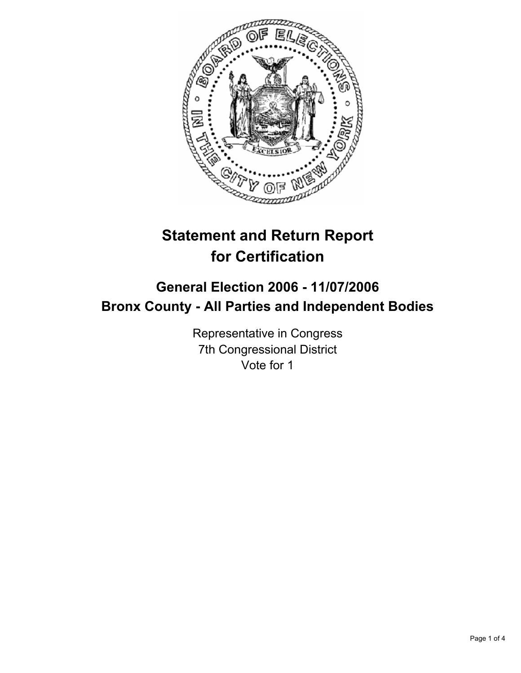

# **Statement and Return Report for Certification**

## **General Election 2006 - 11/07/2006 Bronx County - All Parties and Independent Bodies**

Representative in Congress 7th Congressional District Vote for 1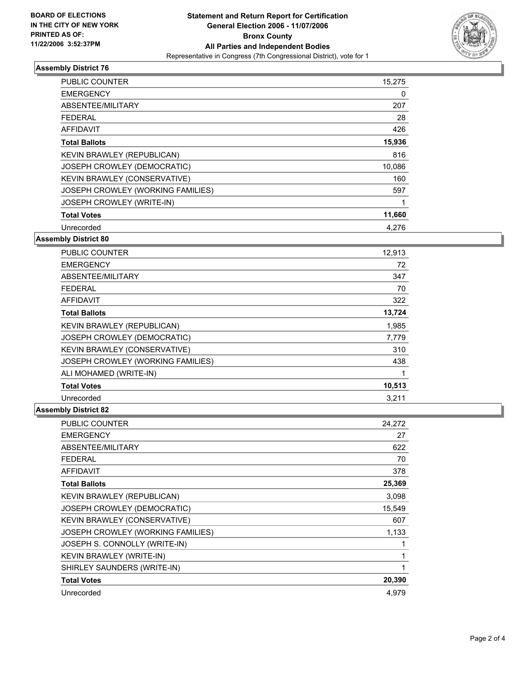

#### **Assembly District 76**

| PUBLIC COUNTER                    | 15,275 |  |
|-----------------------------------|--------|--|
| <b>EMERGENCY</b>                  | 0      |  |
| ABSENTEE/MILITARY                 | 207    |  |
| <b>FEDERAL</b>                    | 28     |  |
| AFFIDAVIT                         | 426    |  |
| <b>Total Ballots</b>              | 15,936 |  |
| KEVIN BRAWLEY (REPUBLICAN)        | 816    |  |
| JOSEPH CROWLEY (DEMOCRATIC)       | 10,086 |  |
| KEVIN BRAWLEY (CONSERVATIVE)      | 160    |  |
| JOSEPH CROWLEY (WORKING FAMILIES) | 597    |  |
| JOSEPH CROWLEY (WRITE-IN)         |        |  |
| <b>Total Votes</b>                | 11,660 |  |
| Unrecorded                        | 4,276  |  |

#### **Assembly District 80**

| <b>PUBLIC COUNTER</b>              | 12,913 |
|------------------------------------|--------|
| <b>EMERGENCY</b>                   | 72     |
| ABSENTEE/MILITARY                  | 347    |
| <b>FEDERAL</b>                     | 70     |
| <b>AFFIDAVIT</b>                   | 322    |
| <b>Total Ballots</b>               | 13,724 |
| KEVIN BRAWLEY (REPUBLICAN)         | 1,985  |
| <b>JOSEPH CROWLEY (DEMOCRATIC)</b> | 7,779  |
| KEVIN BRAWLEY (CONSERVATIVE)       | 310    |
| JOSEPH CROWLEY (WORKING FAMILIES)  | 438    |
| ALI MOHAMED (WRITE-IN)             |        |
| <b>Total Votes</b>                 | 10,513 |
| Unrecorded                         | 3.211  |

### **Assembly District 82**

| <b>PUBLIC COUNTER</b>             | 24,272 |
|-----------------------------------|--------|
| <b>EMERGENCY</b>                  | 27     |
| ABSENTEE/MILITARY                 | 622    |
| <b>FEDERAL</b>                    | 70     |
| <b>AFFIDAVIT</b>                  | 378    |
| <b>Total Ballots</b>              | 25,369 |
| KEVIN BRAWLEY (REPUBLICAN)        | 3,098  |
| JOSEPH CROWLEY (DEMOCRATIC)       | 15,549 |
| KEVIN BRAWLEY (CONSERVATIVE)      | 607    |
| JOSEPH CROWLEY (WORKING FAMILIES) | 1,133  |
| JOSEPH S. CONNOLLY (WRITE-IN)     |        |
| KEVIN BRAWLEY (WRITE-IN)          |        |
| SHIRLEY SAUNDERS (WRITE-IN)       |        |
| <b>Total Votes</b>                | 20,390 |
| Unrecorded                        | 4,979  |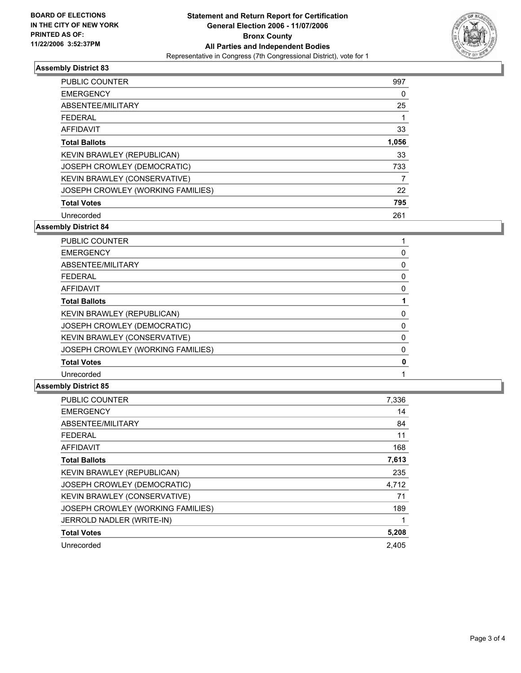

#### **Assembly District 83**

| <b>PUBLIC COUNTER</b>             | 997   |
|-----------------------------------|-------|
| <b>EMERGENCY</b>                  | 0     |
| ABSENTEE/MILITARY                 | 25    |
| <b>FEDERAL</b>                    |       |
| AFFIDAVIT                         | 33    |
| <b>Total Ballots</b>              | 1,056 |
| KEVIN BRAWLEY (REPUBLICAN)        | 33    |
| JOSEPH CROWLEY (DEMOCRATIC)       | 733   |
| KEVIN BRAWLEY (CONSERVATIVE)      |       |
| JOSEPH CROWLEY (WORKING FAMILIES) | 22    |
| <b>Total Votes</b>                | 795   |
| Unrecorded                        | 261   |

**Assembly District 84**

| <b>PUBLIC COUNTER</b>             |  |
|-----------------------------------|--|
| <b>EMERGENCY</b>                  |  |
| ABSENTEE/MILITARY                 |  |
| <b>FEDERAL</b>                    |  |
| AFFIDAVIT                         |  |
| <b>Total Ballots</b>              |  |
| KEVIN BRAWLEY (REPUBLICAN)        |  |
| JOSEPH CROWLEY (DEMOCRATIC)       |  |
| KEVIN BRAWLEY (CONSERVATIVE)      |  |
| JOSEPH CROWLEY (WORKING FAMILIES) |  |
| <b>Total Votes</b>                |  |
| Unrecorded                        |  |

#### **Assembly District 85**

| <b>PUBLIC COUNTER</b>             | 7,336 |
|-----------------------------------|-------|
| <b>EMERGENCY</b>                  | 14    |
| ABSENTEE/MILITARY                 | 84    |
| <b>FEDERAL</b>                    | 11    |
| <b>AFFIDAVIT</b>                  | 168   |
| <b>Total Ballots</b>              | 7,613 |
| <b>KEVIN BRAWLEY (REPUBLICAN)</b> | 235   |
| JOSEPH CROWLEY (DEMOCRATIC)       | 4,712 |
| KEVIN BRAWLEY (CONSERVATIVE)      | 71    |
| JOSEPH CROWLEY (WORKING FAMILIES) | 189   |
| JERROLD NADLER (WRITE-IN)         |       |
| <b>Total Votes</b>                | 5,208 |
| Unrecorded                        | 2,405 |